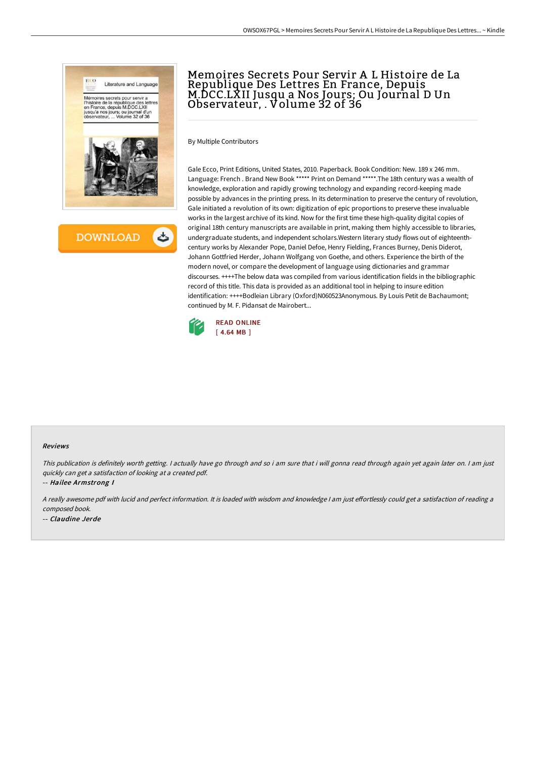

Memoires Secrets Pour Servir A L Histoire de La Republique Des Lettres En France, Depuis M.DCC.LXII Jusqu a Nos Jours; Ou Journal D Un Observateur, . Volume 32 of 36

By Multiple Contributors

Gale Ecco, Print Editions, United States, 2010. Paperback. Book Condition: New. 189 x 246 mm. Language: French . Brand New Book \*\*\*\*\* Print on Demand \*\*\*\*\*.The 18th century was a wealth of knowledge, exploration and rapidly growing technology and expanding record-keeping made possible by advances in the printing press. In its determination to preserve the century of revolution, Gale initiated a revolution of its own: digitization of epic proportions to preserve these invaluable works in the largest archive of its kind. Now for the first time these high-quality digital copies of original 18th century manuscripts are available in print, making them highly accessible to libraries, undergraduate students, and independent scholars.Western literary study flows out of eighteenthcentury works by Alexander Pope, Daniel Defoe, Henry Fielding, Frances Burney, Denis Diderot, Johann Gottfried Herder, Johann Wolfgang von Goethe, and others. Experience the birth of the modern novel, or compare the development of language using dictionaries and grammar discourses. ++++The below data was compiled from various identification fields in the bibliographic record of this title. This data is provided as an additional tool in helping to insure edition identification: ++++Bodleian Library (Oxford)N060523Anonymous. By Louis Petit de Bachaumont; continued by M. F. Pidansat de Mairobert...



#### Reviews

This publication is definitely worth getting. I actually have go through and so i am sure that i will gonna read through again yet again later on. I am just quickly can get <sup>a</sup> satisfaction of looking at <sup>a</sup> created pdf.

-- Hailee Armstrong I

A really awesome pdf with lucid and perfect information. It is loaded with wisdom and knowledge I am just effortlessly could get a satisfaction of reading a composed book.

-- Claudine Jerde